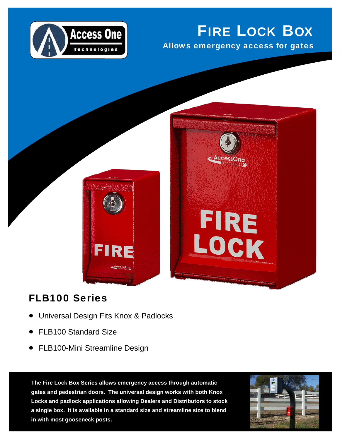

## FIRE LOCK BOX

Allows emergency access for gates

FIRE

LOCK



## FLB100 Series

- Universal Design Fits Knox & Padlocks
- FLB100 Standard Size
- FLB100-Mini Streamline Design

**The Fire Lock Box Series allows emergency access through automatic gates and pedestrian doors. The universal design works with both Knox Locks and padlock applications allowing Dealers and Distributors to stock a single box. It is available in a standard size and streamline size to blend in with most gooseneck posts.**